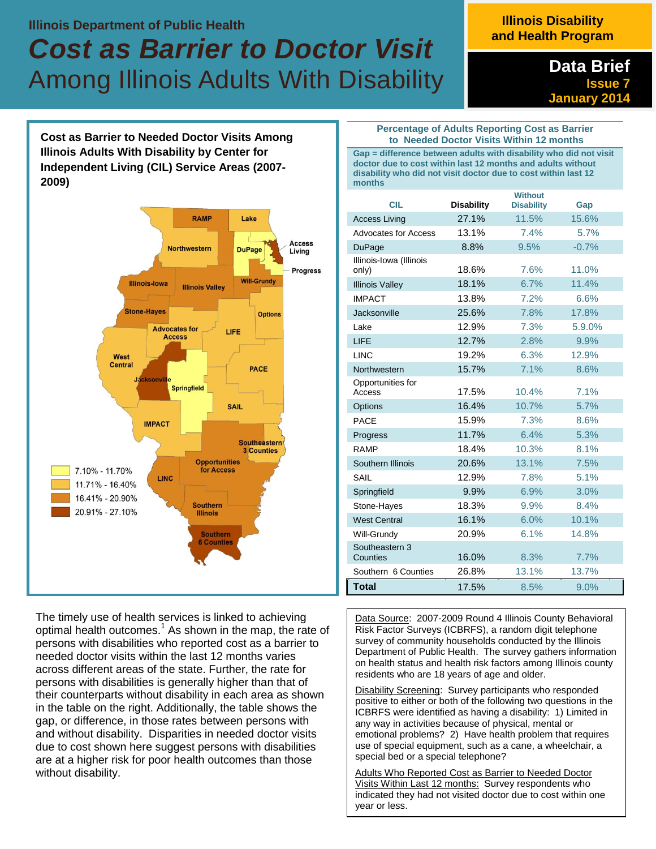## **Illinois Department of Public Health**

# *Cost as Barrier to Doctor Visit*  Among Illinois Adults With Disability

# **Illinois Disability and Health Program**

**Data Brief Issue 7 January 2014** 

**Cost as Barrier to Needed Doctor Visits Among Illinois Adults With Disability by Center for Independent Living (CIL) Service Areas (2007- 2009)**



The timely use of health services is linked to achieving optimal health outcomes.<sup>1</sup> As shown in the map, the rate of persons with disabilities who reported cost as a barrier to needed doctor visits within the last 12 months varies across different areas of the state. Further, the rate for persons with disabilities is generally higher than that of their counterparts without disability in each area as shown in the table on the right. Additionally, the table shows the gap, or difference, in those rates between persons with and without disability. Disparities in needed doctor visits due to cost shown here suggest persons with disabilities are at a higher risk for poor health outcomes than those without disability.

#### **Percentage of Adults Reporting Cost as Barrier to Needed Doctor Visits Within 12 months**

**Gap = difference between adults with disability who did not visit doctor due to cost within last 12 months and adults without disability who did not visit doctor due to cost within last 12 months** 

| <b>CIL</b>                       | <b>Disability</b> | <b>Without</b><br><b>Disability</b> | Gap     |
|----------------------------------|-------------------|-------------------------------------|---------|
| <b>Access Living</b>             | 27.1%             | 11.5%                               | 15.6%   |
| <b>Advocates for Access</b>      | 13.1%             | 7.4%                                | 5.7%    |
| <b>DuPage</b>                    | 8.8%              | 9.5%                                | $-0.7%$ |
| Illinois-Iowa (Illinois<br>only) | 18.6%             | 7.6%                                | 11.0%   |
| <b>Illinois Valley</b>           | 18.1%             | 6.7%                                | 11.4%   |
| <b>IMPACT</b>                    | 13.8%             | 7.2%                                | 6.6%    |
| Jacksonville                     | 25.6%             | 7.8%                                | 17.8%   |
| Lake                             | 12.9%             | 7.3%                                | 5.9.0%  |
| LIFE                             | 12.7%             | 2.8%                                | 9.9%    |
| <b>LINC</b>                      | 19.2%             | 6.3%                                | 12.9%   |
| Northwestern                     | 15.7%             | 7.1%                                | 8.6%    |
| Opportunities for<br>Access      | 17.5%             | 10.4%                               | 7.1%    |
| Options                          | 16.4%             | 10.7%                               | 5.7%    |
| <b>PACE</b>                      | 15.9%             | 7.3%                                | 8.6%    |
| Progress                         | 11.7%             | 6.4%                                | 5.3%    |
| RAMP                             | 18.4%             | 10.3%                               | 8.1%    |
| Southern Illinois                | 20.6%             | 13.1%                               | 7.5%    |
| SAIL                             | 12.9%             | 7.8%                                | 5.1%    |
| Springfield                      | 9.9%              | 6.9%                                | 3.0%    |
| Stone-Hayes                      | 18.3%             | 9.9%                                | 8.4%    |
| <b>West Central</b>              | 16.1%             | 6.0%                                | 10.1%   |
| Will-Grundy                      | 20.9%             | 6.1%                                | 14.8%   |
| Southeastern 3<br>Counties       | 16.0%             | 8.3%                                | 7.7%    |
| Southern 6 Counties              | 26.8%             | 13.1%                               | 13.7%   |
| <b>Total</b>                     | 17.5%             | 8.5%                                | 9.0%    |

Data Source: 2007-2009 Round 4 Illinois County Behavioral Risk Factor Surveys (ICBRFS), a random digit telephone survey of community households conducted by the Illinois Department of Public Health. The survey gathers information on health status and health risk factors among Illinois county residents who are 18 years of age and older.

Disability Screening: Survey participants who responded positive to either or both of the following two questions in the ICBRFS were identified as having a disability: 1) Limited in any way in activities because of physical, mental or emotional problems? 2) Have health problem that requires use of special equipment, such as a cane, a wheelchair, a special bed or a special telephone?

Adults Who Reported Cost as Barrier to Needed Doctor Visits Within Last 12 months: Survey respondents who indicated they had not visited doctor due to cost within one year or less.